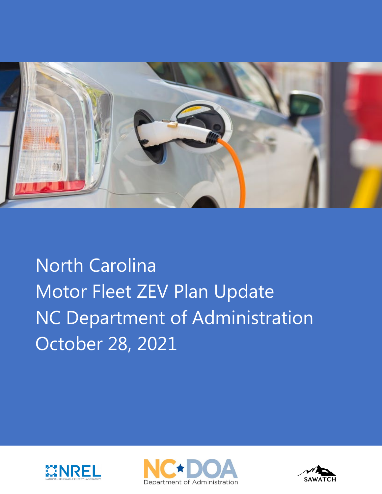

North Carolina Motor Fleet ZEV Plan Update NC Department of Administration October 28, 2021





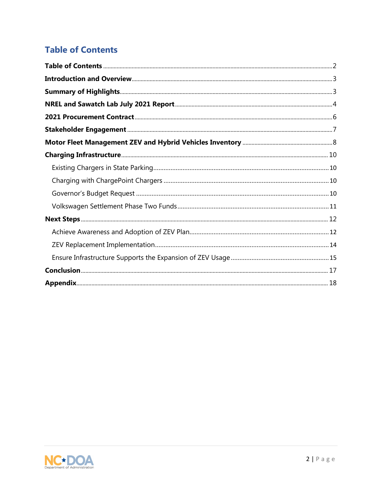## <span id="page-1-0"></span>**Table of Contents**

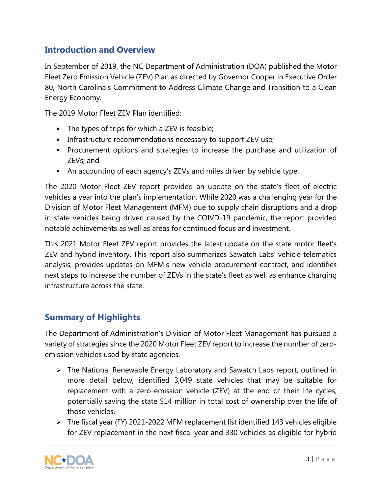## <span id="page-2-0"></span>**Introduction and Overview**

In September of 2019, the NC Department of Administration (DOA) published the Motor Fleet Zero Emission Vehicle (ZEV) Plan as directed by Governor Cooper in Executive Order 80, North Carolina's Commitment to Address Climate Change and Transition to a Clean Energy Economy.

The 2019 Motor Fleet ZEV Plan identified:

- The types of trips for which a ZEV is feasible;
- Infrastructure recommendations necessary to support ZEV use;
- Procurement options and strategies to increase the purchase and utilization of ZEVs; and
- An accounting of each agency's ZEVs and miles driven by vehicle type.

The 2020 Motor Fleet ZEV report provided an update on the state's fleet of electric vehicles a year into the plan's implementation. While 2020 was a challenging year for the Division of Motor Fleet Management (MFM) due to supply chain disruptions and a drop in state vehicles being driven caused by the COIVD-19 pandemic, the report provided notable achievements as well as areas for continued focus and investment.

This 2021 Motor Fleet ZEV report provides the latest update on the state motor fleet's ZEV and hybrid inventory. This report also summarizes Sawatch Labs' vehicle telematics analysis, provides updates on MFM's new vehicle procurement contract, and identifies next steps to increase the number of ZEVs in the state's fleet as well as enhance charging infrastructure across the state.

## <span id="page-2-1"></span>**Summary of Highlights**

The Department of Administration's Division of Motor Fleet Management has pursued a variety of strategies since the 2020 Motor Fleet ZEV report to increase the number of zeroemission vehicles used by state agencies.

- The National Renewable Energy Laboratory and Sawatch Labs report, outlined in more detail below, identified 3,049 state vehicles that may be suitable for replacement with a zero-emission vehicle (ZEV) at the end of their life cycles, potentially saving the state \$14 million in total cost of ownership over the life of those vehicles.
- $\triangleright$  The fiscal year (FY) 2021-2022 MFM replacement list identified 143 vehicles eligible for ZEV replacement in the next fiscal year and 330 vehicles as eligible for hybrid

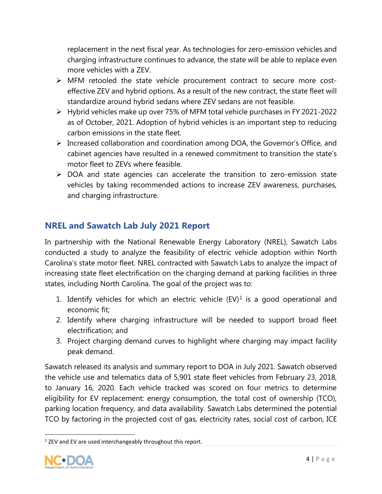replacement in the next fiscal year. As technologies for zero-emission vehicles and charging infrastructure continues to advance, the state will be able to replace even more vehicles with a ZEV.

- MFM retooled the state vehicle procurement contract to secure more costeffective ZEV and hybrid options. As a result of the new contract, the state fleet will standardize around hybrid sedans where ZEV sedans are not feasible.
- Hybrid vehicles make up over 75% of MFM total vehicle purchases in FY 2021-2022 as of October, 2021. Adoption of hybrid vehicles is an important step to reducing carbon emissions in the state fleet.
- $\triangleright$  Increased collaboration and coordination among DOA, the Governor's Office, and cabinet agencies have resulted in a renewed commitment to transition the state's motor fleet to ZEVs where feasible.
- $\triangleright$  DOA and state agencies can accelerate the transition to zero-emission state vehicles by taking recommended actions to increase ZEV awareness, purchases, and charging infrastructure.

## <span id="page-3-0"></span>**NREL and Sawatch Lab July 2021 Report**

In partnership with the National Renewable Energy Laboratory (NREL), Sawatch Labs conducted a study to analyze the feasibility of electric vehicle adoption within North Carolina's state motor fleet. NREL contracted with Sawatch Labs to analyze the impact of increasing state fleet electrification on the charging demand at parking facilities in three states, including North Carolina. The goal of the project was to:

- [1](#page-3-1). Identify vehicles for which an electric vehicle  $(EV)^1$  is a good operational and economic fit;
- 2. Identify where charging infrastructure will be needed to support broad fleet electrification; and
- 3. Project charging demand curves to highlight where charging may impact facility peak demand.

Sawatch released its analysis and summary report to DOA in July 2021. Sawatch observed the vehicle use and telematics data of 5,901 state fleet vehicles from February 23, 2018, to January 16, 2020. Each vehicle tracked was scored on four metrics to determine eligibility for EV replacement: energy consumption, the total cost of ownership (TCO), parking location frequency, and data availability. Sawatch Labs determined the potential TCO by factoring in the projected cost of gas, electricity rates, social cost of carbon, ICE

<span id="page-3-1"></span> $1$  ZEV and EV are used interchangeably throughout this report.

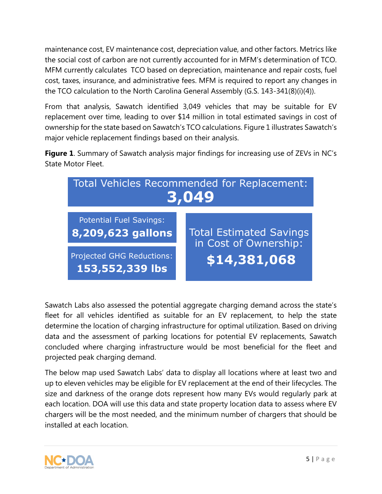maintenance cost, EV maintenance cost, depreciation value, and other factors. Metrics like the social cost of carbon are not currently accounted for in MFM's determination of TCO. MFM currently calculates TCO based on depreciation, maintenance and repair costs, fuel cost, taxes, insurance, and administrative fees. MFM is required to report any changes in the TCO calculation to the North Carolina General Assembly (G.S. 143-341(8)(i)(4)).

From that analysis, Sawatch identified 3,049 vehicles that may be suitable for EV replacement over time, leading to over \$14 million in total estimated savings in cost of ownership for the state based on Sawatch's TCO calculations. Figure 1 illustrates Sawatch's major vehicle replacement findings based on their analysis.

**Figure 1**. Summary of Sawatch analysis major findings for increasing use of ZEVs in NC's State Motor Fleet.



Sawatch Labs also assessed the potential aggregate charging demand across the state's fleet for all vehicles identified as suitable for an EV replacement, to help the state determine the location of charging infrastructure for optimal utilization. Based on driving data and the assessment of parking locations for potential EV replacements, Sawatch concluded where charging infrastructure would be most beneficial for the fleet and projected peak charging demand.

The below map used Sawatch Labs' data to display all locations where at least two and up to eleven vehicles may be eligible for EV replacement at the end of their lifecycles. The size and darkness of the orange dots represent how many EVs would regularly park at each location. DOA will use this data and state property location data to assess where EV chargers will be the most needed, and the minimum number of chargers that should be installed at each location.

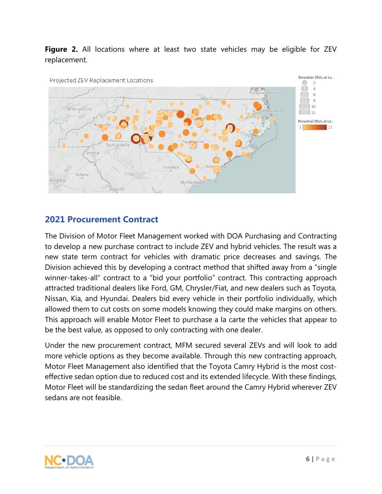## **Figure 2.** All locations where at least two state vehicles may be eligible for ZEV replacement.



## <span id="page-5-0"></span>**2021 Procurement Contract**

The Division of Motor Fleet Management worked with DOA Purchasing and Contracting to develop a new purchase contract to include ZEV and hybrid vehicles. The result was a new state term contract for vehicles with dramatic price decreases and savings. The Division achieved this by developing a contract method that shifted away from a "single winner-takes-all" contract to a "bid your portfolio" contract. This contracting approach attracted traditional dealers like Ford, GM, Chrysler/Fiat, and new dealers such as Toyota, Nissan, Kia, and Hyundai. Dealers bid every vehicle in their portfolio individually, which allowed them to cut costs on some models knowing they could make margins on others. This approach will enable Motor Fleet to purchase a la carte the vehicles that appear to be the best value, as opposed to only contracting with one dealer.

Under the new procurement contract, MFM secured several ZEVs and will look to add more vehicle options as they become available. Through this new contracting approach, Motor Fleet Management also identified that the Toyota Camry Hybrid is the most costeffective sedan option due to reduced cost and its extended lifecycle. With these findings, Motor Fleet will be standardizing the sedan fleet around the Camry Hybrid wherever ZEV sedans are not feasible.

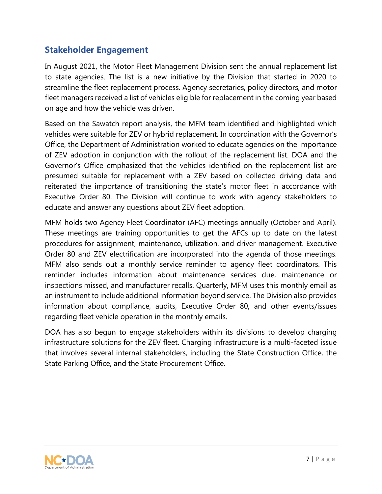## <span id="page-6-0"></span>**Stakeholder Engagement**

In August 2021, the Motor Fleet Management Division sent the annual replacement list to state agencies. The list is a new initiative by the Division that started in 2020 to streamline the fleet replacement process. Agency secretaries, policy directors, and motor fleet managers received a list of vehicles eligible for replacement in the coming year based on age and how the vehicle was driven.

Based on the Sawatch report analysis, the MFM team identified and highlighted which vehicles were suitable for ZEV or hybrid replacement. In coordination with the Governor's Office, the Department of Administration worked to educate agencies on the importance of ZEV adoption in conjunction with the rollout of the replacement list. DOA and the Governor's Office emphasized that the vehicles identified on the replacement list are presumed suitable for replacement with a ZEV based on collected driving data and reiterated the importance of transitioning the state's motor fleet in accordance with Executive Order 80. The Division will continue to work with agency stakeholders to educate and answer any questions about ZEV fleet adoption.

MFM holds two Agency Fleet Coordinator (AFC) meetings annually (October and April). These meetings are training opportunities to get the AFCs up to date on the latest procedures for assignment, maintenance, utilization, and driver management. Executive Order 80 and ZEV electrification are incorporated into the agenda of those meetings. MFM also sends out a monthly service reminder to agency fleet coordinators. This reminder includes information about maintenance services due, maintenance or inspections missed, and manufacturer recalls. Quarterly, MFM uses this monthly email as an instrument to include additional information beyond service. The Division also provides information about compliance, audits, Executive Order 80, and other events/issues regarding fleet vehicle operation in the monthly emails.

<span id="page-6-1"></span>DOA has also begun to engage stakeholders within its divisions to develop charging infrastructure solutions for the ZEV fleet. Charging infrastructure is a multi-faceted issue that involves several internal stakeholders, including the State Construction Office, the State Parking Office, and the State Procurement Office.

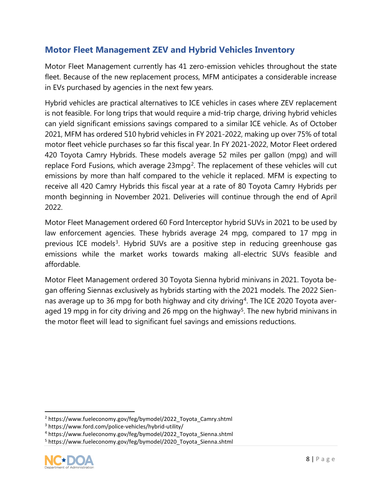## **Motor Fleet Management ZEV and Hybrid Vehicles Inventory**

Motor Fleet Management currently has 41 zero-emission vehicles throughout the state fleet. Because of the new replacement process, MFM anticipates a considerable increase in EVs purchased by agencies in the next few years.

Hybrid vehicles are practical alternatives to ICE vehicles in cases where ZEV replacement is not feasible. For long trips that would require a mid-trip charge, driving hybrid vehicles can yield significant emissions savings compared to a similar ICE vehicle. As of October 2021, MFM has ordered 510 hybrid vehicles in FY 2021-2022, making up over 75% of total motor fleet vehicle purchases so far this fiscal year. In FY 2021-2022, Motor Fleet ordered 420 Toyota Camry Hybrids. These models average 52 miles per gallon (mpg) and will replace Ford Fusions, which average 23mpg<sup>2</sup>. The replacement of these vehicles will cut emissions by more than half compared to the vehicle it replaced. MFM is expecting to receive all 420 Camry Hybrids this fiscal year at a rate of 80 Toyota Camry Hybrids per month beginning in November 2021. Deliveries will continue through the end of April 2022.

Motor Fleet Management ordered 60 Ford Interceptor hybrid SUVs in 2021 to be used by law enforcement agencies. These hybrids average 24 mpg, compared to 17 mpg in previous ICE models<sup>3</sup>. Hybrid SUVs are a positive step in reducing greenhouse gas emissions while the market works towards making all-electric SUVs feasible and affordable.

Motor Fleet Management ordered 30 Toyota Sienna hybrid minivans in 2021. Toyota began offering Siennas exclusively as hybrids starting with the 2021 models. The 2022 Sien-nas average up to 36 mpg for both highway and city driving<sup>[4](#page-7-2)</sup>. The ICE 2020 Toyota aver-aged 19 mpg in for city driving and 26 mpg on the highway<sup>[5](#page-7-3)</sup>. The new hybrid minivans in the motor fleet will lead to significant fuel savings and emissions reductions.

<span id="page-7-3"></span><span id="page-7-2"></span><span id="page-7-1"></span><sup>5</sup> https://www.fueleconomy.gov/feg/bymodel/2020\_Toyota\_Sienna.shtml



<span id="page-7-0"></span><sup>2</sup> https://www.fueleconomy.gov/feg/bymodel/2022\_Toyota\_Camry.shtml

<sup>3</sup> https://www.ford.com/police-vehicles/hybrid-utility/

<sup>4</sup> https://www.fueleconomy.gov/feg/bymodel/2022\_Toyota\_Sienna.shtml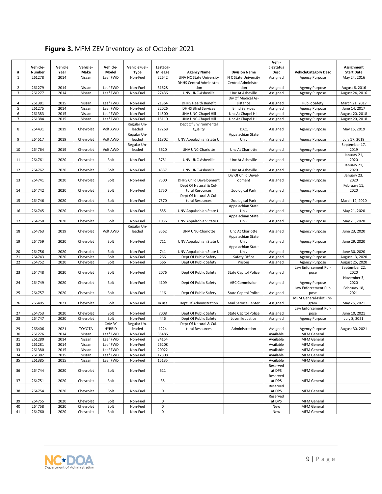| #              | Vehicle-<br>Number | Vehicle<br>Year | Vehicle-<br>Make       | Vehicle-<br>Model | VehicleFuel-<br><b>Type</b> | LastLog-<br><b>Mileage</b> | <b>Agency Name</b>                                      | <b>Division Name</b>                            | Vehi-<br>cleStatus<br>Desc | <b>VehicleCategory Desc</b>    | Assignment<br><b>Start Date</b> |
|----------------|--------------------|-----------------|------------------------|-------------------|-----------------------------|----------------------------|---------------------------------------------------------|-------------------------------------------------|----------------------------|--------------------------------|---------------------------------|
| 1              | 261278             | 2014            | Nissan                 | Leaf FWD          | Non-Fuel                    | 22642                      | UNV NC State University                                 | N C State University                            | Assigned                   | <b>Agency Purpose</b>          | May 24, 2016                    |
| 2              | 261279             | 2014            | Nissan                 | Leaf FWD          | Non-Fuel                    | 31628                      | DHHS Central Administra-<br>tion                        | Central Administra-<br>tion                     | Assigned                   | <b>Agency Purpose</b>          | August 8, 2016                  |
| 3              | 261277             | 2014            | Nissan                 | Leaf FWD          | Non-Fuel                    | 27436                      | UNV UNC-Asheville                                       | Unc At Asheville                                | Assigned                   | <b>Agency Purpose</b>          | August 24, 2016                 |
| 4              | 261381             | 2015            | Nissan                 | Leaf FWD          | Non-Fuel                    | 21364                      | <b>DHHS Health Benefit</b>                              | Div Of Medical As-<br>sistance                  | Assigned                   | <b>Public Safety</b>           | March 21, 2017                  |
| 5              | 261275             | 2014            | Nissan                 | Leaf FWD          | Non-Fuel                    | 22026                      | <b>DHHS Blind Services</b>                              | <b>Blind Services</b>                           | Assigned                   | <b>Agency Purpose</b>          | June 14, 2017                   |
| 6              | 261383             | 2015            | Nissan                 | Leaf FWD          | Non-Fuel                    | 14500                      | UNV UNC-Chapel Hill                                     | Unc At Chapel Hill                              | Assigned                   | <b>Agency Purpose</b>          | August 20, 2018                 |
| $\overline{7}$ | 261384             | 2015            | Nissan                 | Leaf FWD          | Non-Fuel                    | 15110                      | UNV UNC-Chapel Hill                                     | Unc At Chapel Hill                              | Assigned                   | <b>Agency Purpose</b>          | August 20, 2018                 |
| 8              | 264431             | 2019            | Chevrolet              | Volt AWD          | Regular Un-<br>leaded       | 17268                      | Dept Of Environmental<br>Quality                        | <b>DAQ</b>                                      | Assigned                   | <b>Agency Purpose</b>          | May 15, 2019                    |
| 9              | 264517             | 2019            | Chevrolet              | Volt AWD          | Regular Un-<br>leaded       | 11802                      | UNV Appalachian State U                                 | Appalachian State<br>Univ                       | Assigned                   | <b>Agency Purpose</b>          | July 17, 2019                   |
|                |                    |                 |                        |                   | Regular Un-                 |                            |                                                         |                                                 |                            |                                | September 17,                   |
| 10             | 264764             | 2019            | Chevrolet              | Volt AWD          | leaded                      | 3620                       | UNV UNC-Charlotte                                       | Unc At Charlotte                                | Assigned                   | <b>Agency Purpose</b>          | 2019                            |
| 11             | 264761             | 2020            | Chevrolet              | Bolt              | Non-Fuel                    | 3751                       | UNV UNC-Asheville                                       | Unc At Asheville                                | Assigned                   | <b>Agency Purpose</b>          | January 21,<br>2020             |
| 12             | 264762             | 2020            | Chevrolet              | Bolt              | Non-Fuel                    | 4337                       | UNV UNC-Asheville                                       | Unc At Asheville                                | Assigned                   | <b>Agency Purpose</b>          | January 21,<br>2020             |
|                |                    |                 |                        |                   |                             |                            |                                                         | Div Of Child Devel-                             |                            |                                | January 23,                     |
| 13             | 264741             | 2020            | Chevrolet              | Bolt              | Non-Fuel                    | 7500                       | <b>DHHS Child Development</b><br>Dept Of Natural & Cul- | opment                                          | Assigned                   | <b>Agency Purpose</b>          | 2020<br>February 11,            |
| 14             | 264742             | 2020            | Chevrolet              | Bolt              | Non-Fuel                    | 1750                       | tural Resources<br>Dept Of Natural & Cul-               | Zoological Park                                 | Assigned                   | <b>Agency Purpose</b>          | 2020                            |
| 15             | 264746             | 2020            | Chevrolet              | <b>Bolt</b>       | Non-Fuel                    | 7570                       | tural Resources                                         | Zoological Park                                 | Assigned                   | <b>Agency Purpose</b>          | March 12, 2020                  |
| 16             | 264745             | 2020            | Chevrolet              | Bolt              | Non-Fuel                    | 555                        | UNV Appalachian State U                                 | Appalachian State<br>Univ                       |                            |                                |                                 |
|                |                    |                 |                        |                   |                             |                            |                                                         | Appalachian State                               | Assigned                   | <b>Agency Purpose</b>          | May 21, 2020                    |
| 17             | 264750             | 2020            | Chevrolet              | Bolt              | Non-Fuel<br>Regular Un-     | 1036                       | UNV Appalachian State U                                 | Univ                                            | Assigned                   | <b>Agency Purpose</b>          | May 21, 2020                    |
| 18             | 264763             | 2019            | Chevrolet              | Volt AWD          | leaded                      | 3562                       | UNV UNC-Charlotte                                       | Unc At Charlotte                                | Assigned                   | <b>Agency Purpose</b>          | June 23, 2020                   |
| 19             | 264759             | 2020            | Chevrolet              | Bolt              | Non-Fuel                    | 711                        | UNV Appalachian State U                                 | Appalachian State<br>Univ                       | Assigned                   | <b>Agency Purpose</b>          | June 29, 2020                   |
| 20             | 264756             | 2020            | Chevrolet              | Bolt              | Non-Fuel                    | 741                        | UNV Appalachian State U                                 | Appalachian State<br>Univ                       | Assigned                   | <b>Agency Purpose</b>          | June 30, 2020                   |
| 21             | 264743             | 2020            | Chevrolet              | <b>Bolt</b>       | Non-Fuel                    | 266                        | Dept Of Public Safety                                   | Safety Office                                   | Assigned                   | <b>Agency Purpose</b>          | August 13, 2020                 |
| 22             | 264752             | 2020            | Chevrolet              | <b>Bolt</b>       | Non-Fuel                    | 566                        | Dept Of Public Safety                                   | Prisons                                         | Assigned                   | <b>Agency Purpose</b>          | August 25, 2020                 |
| 23             | 264748             | 2020            | Chevrolet              | <b>Bolt</b>       | Non-Fuel                    | 2076                       | Dept Of Public Safety                                   | <b>State Capitol Police</b>                     | Assigned                   | Law Enforcement Pur-<br>pose   | September 22,<br>2020           |
| 24             | 264749             | 2020            | Chevrolet              | Bolt              | Non-Fuel                    | 4109                       | Dept Of Public Safety                                   | <b>ABC Commission</b>                           | Assigned                   | <b>Agency Purpose</b>          | November 3,<br>2020             |
| 25             | 264757             | 2020            | Chevrolet              | Bolt              | Non-Fuel                    | 116                        | Dept Of Public Safety                                   | <b>State Capitol Police</b>                     | Assigned                   | Law Enforcement Pur-<br>pose   | February 18,<br>2021            |
| 26             | 266405             | 2021            | Chevrolet              | Bolt              | Non-Fuel                    | In use                     | Dept Of Administration                                  | Mail Service Center                             | Assigned                   | MFM General-Pilot Pro-<br>gram | May 25, 2021                    |
|                |                    |                 |                        |                   |                             |                            |                                                         |                                                 |                            | Law Enforcement Pur-           |                                 |
| 27<br>28       | 264753<br>264747   | 2020<br>2020    | Chevrolet<br>Chevrolet | Bolt<br>Bolt      | Non-Fuel<br>Non-Fuel        | 7008<br>446                | Dept Of Public Safety                                   | <b>State Capitol Police</b><br>Juvenile Justice | Assigned                   | pose                           | June 10, 2021<br>July 8, 2021   |
|                |                    |                 |                        | CAMRY             | Regular Un-                 |                            | Dept Of Public Safety<br>Dept Of Natural & Cul-         |                                                 | Assigned                   | Agency Purpose                 |                                 |
| 29             | 266406             | 2021            | <b>TOYOTA</b>          | <b>HYBRID</b>     | leaded                      | 1224                       | tural Resources                                         | Administration                                  | Assigned                   | <b>Agency Purpose</b>          | August 30, 2021                 |
| 30             | 261276             | 2014            | Nissan                 | Leaf FWD          | Non-Fuel                    | 35486                      |                                                         |                                                 | Available                  | <b>MFM</b> General             |                                 |
| 31             | 261280             | 2014            | Nissan                 | Leaf FWD          | Non-Fuel                    | 34154                      |                                                         |                                                 | Available                  | <b>MFM</b> General             |                                 |
| 32             | 261281             | 2014            | Nissan                 | Leaf FWD          | Non-Fuel                    | 26208                      |                                                         |                                                 | Available                  | <b>MFM</b> General             |                                 |
| 33             | 261380             | 2015            | Nissan                 | Leaf FWD          | Non-Fuel                    | 20022                      |                                                         |                                                 | Available                  | <b>MFM</b> General             |                                 |
| 34             | 261382             | 2015            | Nissan                 | Leaf FWD          | Non-Fuel                    | 12808                      |                                                         |                                                 | Available                  | <b>MFM</b> General             |                                 |
| 35             | 261385             | 2015            | Nissan                 | Leaf FWD          | Non-Fuel                    | 15135                      |                                                         |                                                 | Available                  | <b>MFM</b> General             |                                 |
| 36             | 264744             | 2020            | Chevrolet              | Bolt              | Non-Fuel                    | 511                        |                                                         |                                                 | Reserved<br>at DPS         | <b>MFM</b> General             |                                 |
| 37             | 264751             | 2020            | Chevrolet              | Bolt              | Non-Fuel                    | 35                         |                                                         |                                                 | Reserved<br>at DPS         | <b>MFM</b> General             |                                 |
| 38             | 264754             | 2020            | Chevrolet              | Bolt              | Non-Fuel                    | 0                          |                                                         |                                                 | Reserved<br>at DPS         | <b>MFM</b> General             |                                 |
| 39             | 264755             | 2020            | Chevrolet              | Bolt              | Non-Fuel                    | $\mathbf 0$                |                                                         |                                                 | Reserved<br>at DPS         | <b>MFM</b> General             |                                 |
| 40             | 264758             | 2020            | Chevrolet              | Bolt              | Non-Fuel                    | 0                          |                                                         |                                                 | New                        | <b>MFM</b> General             |                                 |
| 41             | 264760             | 2020            | Chevrolet              | Bolt              | Non-Fuel                    | 0                          |                                                         |                                                 | New                        | <b>MFM</b> General             |                                 |

## **Figure 3.** MFM ZEV Inventory as of October 2021

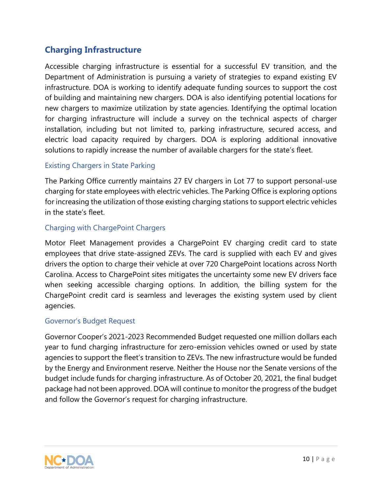## <span id="page-9-0"></span>**Charging Infrastructure**

Accessible charging infrastructure is essential for a successful EV transition, and the Department of Administration is pursuing a variety of strategies to expand existing EV infrastructure. DOA is working to identify adequate funding sources to support the cost of building and maintaining new chargers. DOA is also identifying potential locations for new chargers to maximize utilization by state agencies. Identifying the optimal location for charging infrastructure will include a survey on the technical aspects of charger installation, including but not limited to, parking infrastructure, secured access, and electric load capacity required by chargers. DOA is exploring additional innovative solutions to rapidly increase the number of available chargers for the state's fleet.

## <span id="page-9-1"></span>Existing Chargers in State Parking

The Parking Office currently maintains 27 EV chargers in Lot 77 to support personal-use charging for state employees with electric vehicles. The Parking Office is exploring options for increasing the utilization of those existing charging stations to support electric vehicles in the state's fleet.

## <span id="page-9-2"></span>Charging with ChargePoint Chargers

Motor Fleet Management provides a ChargePoint EV charging credit card to state employees that drive state-assigned ZEVs. The card is supplied with each EV and gives drivers the option to charge their vehicle at over 720 ChargePoint locations across North Carolina. Access to ChargePoint sites mitigates the uncertainty some new EV drivers face when seeking accessible charging options. In addition, the billing system for the ChargePoint credit card is seamless and leverages the existing system used by client agencies.

## <span id="page-9-3"></span>Governor's Budget Request

Governor Cooper's 2021-2023 Recommended Budget requested one million dollars each year to fund charging infrastructure for zero-emission vehicles owned or used by state agencies to support the fleet's transition to ZEVs. The new infrastructure would be funded by the Energy and Environment reserve. Neither the House nor the Senate versions of the budget include funds for charging infrastructure. As of October 20, 2021, the final budget package had not been approved. DOA will continue to monitor the progress of the budget and follow the Governor's request for charging infrastructure.

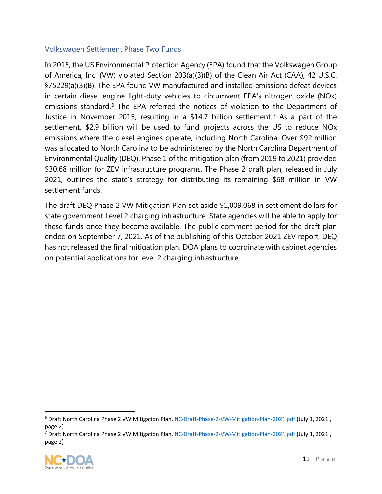## <span id="page-10-0"></span>Volkswagen Settlement Phase Two Funds

In 2015, the US Environmental Protection Agency (EPA) found that the Volkswagen Group of America, Inc. (VW) violated Section 203(a)(3)(B) of the Clean Air Act (CAA), 42 U.S.C. §75229(a)(3)(B). The EPA found VW manufactured and installed emissions defeat devices in certain diesel engine light-duty vehicles to circumvent EPA's nitrogen oxide (NOx) emissions standard. [6](#page-10-1) The EPA referred the notices of violation to the Department of Justice in November 2015, resulting in a \$14.7 billion settlement. [7](#page-10-2) As a part of the settlement, \$2.9 billion will be used to fund projects across the US to reduce NOx emissions where the diesel engines operate, including North Carolina. Over \$92 million was allocated to North Carolina to be administered by the North Carolina Department of Environmental Quality (DEQ). Phase 1 of the mitigation plan (from 2019 to 2021) provided \$30.68 million for ZEV infrastructure programs. The Phase 2 draft plan, released in July 2021, outlines the state's strategy for distributing its remaining \$68 million in VW settlement funds.

The draft [DEQ Phase 2 VW Mitigation Plan](https://files.nc.gov/ncdeq/Air%20Quality/motor/volkswagen/phase-2/NC-Draft-Phase-2-VW-Mitigation-Plan-2021.pdf) set aside \$1,009,068 in settlement dollars for state government Level 2 charging infrastructure. State agencies will be able to apply for these funds once they become available. The public comment period for the draft plan ended on September 7, 2021. As of the publishing of this October 2021 ZEV report, DEQ has not released the final mitigation plan. DOA plans to coordinate with cabinet agencies on potential applications for level 2 charging infrastructure.

<span id="page-10-2"></span><span id="page-10-1"></span><sup>7</sup> Draft North Carolina Phase 2 VW Mitigation Plan[. NC-Draft-Phase-2-VW-Mitigation-Plan-2021.pdf](https://files.nc.gov/ncdeq/Air%20Quality/motor/volkswagen/phase-2/NC-Draft-Phase-2-VW-Mitigation-Plan-2021.pdf) (July 1, 2021., page 2)



<sup>&</sup>lt;sup>6</sup> Draft North Carolina Phase 2 VW Mitigation Plan[. NC-Draft-Phase-2-VW-Mitigation-Plan-2021.pdf](https://files.nc.gov/ncdeq/Air%20Quality/motor/volkswagen/phase-2/NC-Draft-Phase-2-VW-Mitigation-Plan-2021.pdf) (July 1, 2021., page 2)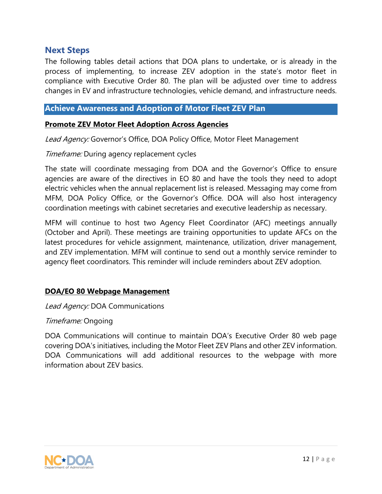## <span id="page-11-0"></span>**Next Steps**

The following tables detail actions that DOA plans to undertake, or is already in the process of implementing, to increase ZEV adoption in the state's motor fleet in compliance with Executive Order 80. The plan will be adjusted over time to address changes in EV and infrastructure technologies, vehicle demand, and infrastructure needs.

### <span id="page-11-1"></span>**Achieve Awareness and Adoption of Motor Fleet ZEV Plan**

#### **Promote ZEV Motor Fleet Adoption Across Agencies**

Lead Agency: Governor's Office, DOA Policy Office, Motor Fleet Management

#### Timeframe: During agency replacement cycles

The state will coordinate messaging from DOA and the Governor's Office to ensure agencies are aware of the directives in EO 80 and have the tools they need to adopt electric vehicles when the annual replacement list is released. Messaging may come from MFM, DOA Policy Office, or the Governor's Office. DOA will also host interagency coordination meetings with cabinet secretaries and executive leadership as necessary.

MFM will continue to host two Agency Fleet Coordinator (AFC) meetings annually (October and April). These meetings are training opportunities to update AFCs on the latest procedures for vehicle assignment, maintenance, utilization, driver management, and ZEV implementation. MFM will continue to send out a monthly service reminder to agency fleet coordinators. This reminder will include reminders about ZEV adoption.

#### **DOA/EO 80 Webpage Management**

Lead Agency: DOA Communications

#### Timeframe: Ongoing

DOA Communications will continue to maintain DOA's Executive Order 80 web page covering DOA's initiatives, including the Motor Fleet ZEV Plans and other ZEV information. DOA Communications will add additional resources to the webpage with more information about ZEV basics.

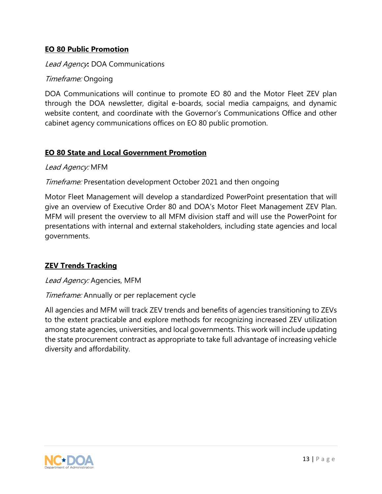## **EO 80 Public Promotion**

Lead Agency**:** DOA Communications

### Timeframe: Ongoing

DOA Communications will continue to promote EO 80 and the Motor Fleet ZEV plan through the DOA newsletter, digital e-boards, social media campaigns, and dynamic website content, and coordinate with the Governor's Communications Office and other cabinet agency communications offices on EO 80 public promotion.

### **EO 80 State and Local Government Promotion**

#### Lead Agency: MFM

### Timeframe: Presentation development October 2021 and then ongoing

Motor Fleet Management will develop a standardized PowerPoint presentation that will give an overview of Executive Order 80 and DOA's Motor Fleet Management ZEV Plan. MFM will present the overview to all MFM division staff and will use the PowerPoint for presentations with internal and external stakeholders, including state agencies and local governments.

## **ZEV Trends Tracking**

#### Lead Agency: Agencies, MFM

#### Timeframe: Annually or per replacement cycle

All agencies and MFM will track ZEV trends and benefits of agencies transitioning to ZEVs to the extent practicable and explore methods for recognizing increased ZEV utilization among state agencies, universities, and local governments. This work will include updating the state procurement contract as appropriate to take full advantage of increasing vehicle diversity and affordability.

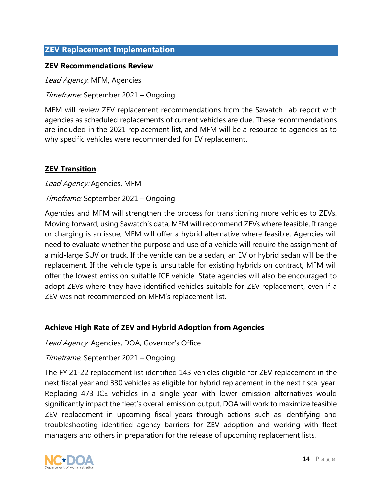## <span id="page-13-0"></span>**ZEV Replacement Implementation**

#### **ZEV Recommendations Review**

Lead Agency: MFM, Agencies

Timeframe: September 2021 – Ongoing

MFM will review ZEV replacement recommendations from the Sawatch Lab report with agencies as scheduled replacements of current vehicles are due. These recommendations are included in the 2021 replacement list, and MFM will be a resource to agencies as to why specific vehicles were recommended for EV replacement.

### **ZEV Transition**

Lead Agency: Agencies, MFM

#### Timeframe: September 2021 – Ongoing

Agencies and MFM will strengthen the process for transitioning more vehicles to ZEVs. Moving forward, using Sawatch's data, MFM will recommend ZEVs where feasible. If range or charging is an issue, MFM will offer a hybrid alternative where feasible. Agencies will need to evaluate whether the purpose and use of a vehicle will require the assignment of a mid-large SUV or truck. If the vehicle can be a sedan, an EV or hybrid sedan will be the replacement. If the vehicle type is unsuitable for existing hybrids on contract, MFM will offer the lowest emission suitable ICE vehicle. State agencies will also be encouraged to adopt ZEVs where they have identified vehicles suitable for ZEV replacement, even if a ZEV was not recommended on MFM's replacement list.

#### **Achieve High Rate of ZEV and Hybrid Adoption from Agencies**

Lead Agency: Agencies, DOA, Governor's Office

#### Timeframe: September 2021 – Ongoing

The FY 21-22 replacement list identified 143 vehicles eligible for ZEV replacement in the next fiscal year and 330 vehicles as eligible for hybrid replacement in the next fiscal year. Replacing 473 ICE vehicles in a single year with lower emission alternatives would significantly impact the fleet's overall emission output. DOA will work to maximize feasible ZEV replacement in upcoming fiscal years through actions such as identifying and troubleshooting identified agency barriers for ZEV adoption and working with fleet managers and others in preparation for the release of upcoming replacement lists.

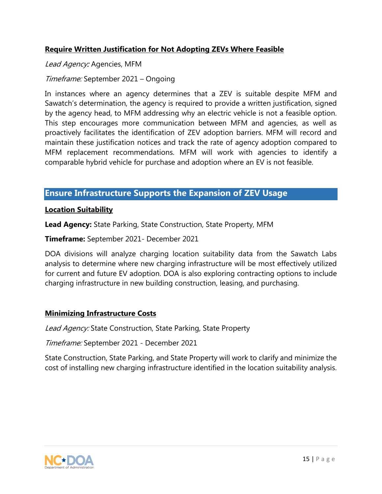## **Require Written Justification for Not Adopting ZEVs Where Feasible**

### Lead Agency: Agencies, MFM

## Timeframe: September 2021 – Ongoing

In instances where an agency determines that a ZEV is suitable despite MFM and Sawatch's determination, the agency is required to provide a written justification, signed by the agency head, to MFM addressing why an electric vehicle is not a feasible option. This step encourages more communication between MFM and agencies, as well as proactively facilitates the identification of ZEV adoption barriers. MFM will record and maintain these justification notices and track the rate of agency adoption compared to MFM replacement recommendations. MFM will work with agencies to identify a comparable hybrid vehicle for purchase and adoption where an EV is not feasible.

## <span id="page-14-0"></span>**Ensure Infrastructure Supports the Expansion of ZEV Usage**

#### **Location Suitability**

**Lead Agency:** State Parking, State Construction, State Property, MFM

**Timeframe:** September 2021- December 2021

DOA divisions will analyze charging location suitability data from the Sawatch Labs analysis to determine where new charging infrastructure will be most effectively utilized for current and future EV adoption. DOA is also exploring contracting options to include charging infrastructure in new building construction, leasing, and purchasing.

## **Minimizing Infrastructure Costs**

Lead Agency: State Construction, State Parking, State Property

Timeframe: September 2021 - December 2021

State Construction, State Parking, and State Property will work to clarify and minimize the cost of installing new charging infrastructure identified in the location suitability analysis.

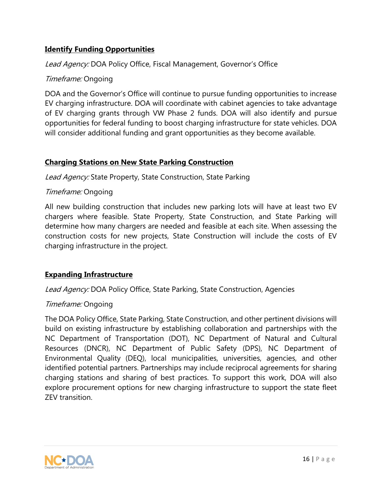## **Identify Funding Opportunities**

Lead Agency: DOA Policy Office, Fiscal Management, Governor's Office

## Timeframe: Ongoing

DOA and the Governor's Office will continue to pursue funding opportunities to increase EV charging infrastructure. DOA will coordinate with cabinet agencies to take advantage of EV charging grants through VW Phase 2 funds. DOA will also identify and pursue opportunities for federal funding to boost charging infrastructure for state vehicles. DOA will consider additional funding and grant opportunities as they become available.

## **Charging Stations on New State Parking Construction**

Lead Agency: State Property, State Construction, State Parking

## Timeframe: Ongoing

All new building construction that includes new parking lots will have at least two EV chargers where feasible. State Property, State Construction, and State Parking will determine how many chargers are needed and feasible at each site. When assessing the construction costs for new projects, State Construction will include the costs of EV charging infrastructure in the project.

## **Expanding Infrastructure**

Lead Agency: DOA Policy Office, State Parking, State Construction, Agencies

#### Timeframe: Ongoing

The DOA Policy Office, State Parking, State Construction, and other pertinent divisions will build on existing infrastructure by establishing collaboration and partnerships with the NC Department of Transportation (DOT), NC Department of Natural and Cultural Resources (DNCR), NC Department of Public Safety (DPS), NC Department of Environmental Quality (DEQ), local municipalities, universities, agencies, and other identified potential partners. Partnerships may include reciprocal agreements for sharing charging stations and sharing of best practices. To support this work, DOA will also explore procurement options for new charging infrastructure to support the state fleet ZEV transition.

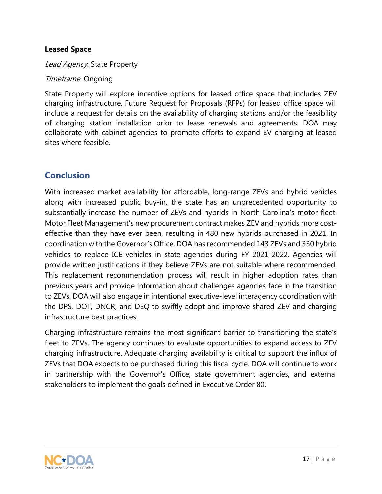## **Leased Space**

Lead Agency: State Property

## Timeframe: Ongoing

State Property will explore incentive options for leased office space that includes ZEV charging infrastructure. Future Request for Proposals (RFPs) for leased office space will include a request for details on the availability of charging stations and/or the feasibility of charging station installation prior to lease renewals and agreements. DOA may collaborate with cabinet agencies to promote efforts to expand EV charging at leased sites where feasible.

## <span id="page-16-0"></span>**Conclusion**

With increased market availability for affordable, long-range ZEVs and hybrid vehicles along with increased public buy-in, the state has an unprecedented opportunity to substantially increase the number of ZEVs and hybrids in North Carolina's motor fleet. Motor Fleet Management's new procurement contract makes ZEV and hybrids more costeffective than they have ever been, resulting in 480 new hybrids purchased in 2021. In coordination with the Governor's Office, DOA has recommended 143 ZEVs and 330 hybrid vehicles to replace ICE vehicles in state agencies during FY 2021-2022. Agencies will provide written justifications if they believe ZEVs are not suitable where recommended. This replacement recommendation process will result in higher adoption rates than previous years and provide information about challenges agencies face in the transition to ZEVs. DOA will also engage in intentional executive-level interagency coordination with the DPS, DOT, DNCR, and DEQ to swiftly adopt and improve shared ZEV and charging infrastructure best practices.

Charging infrastructure remains the most significant barrier to transitioning the state's fleet to ZEVs. The agency continues to evaluate opportunities to expand access to ZEV charging infrastructure. Adequate charging availability is critical to support the influx of ZEVs that DOA expects to be purchased during this fiscal cycle. DOA will continue to work in partnership with the Governor's Office, state government agencies, and external stakeholders to implement the goals defined in Executive Order 80.

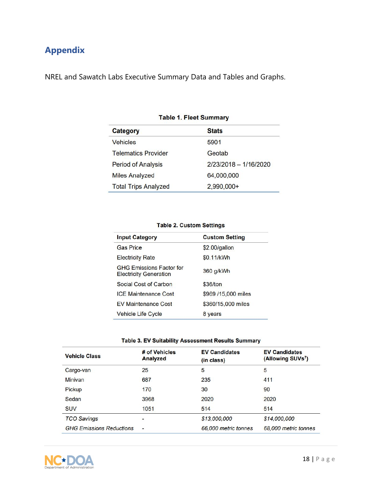# <span id="page-17-0"></span>**Appendix**

NREL and Sawatch Labs Executive Summary Data and Tables and Graphs.

| <b>Category</b>             | <b>Stats</b>            |  |  |  |
|-----------------------------|-------------------------|--|--|--|
| <b>Vehicles</b>             | 5901                    |  |  |  |
| <b>Telematics Provider</b>  | Geotab                  |  |  |  |
| <b>Period of Analysis</b>   | $2/23/2018 - 1/16/2020$ |  |  |  |
| <b>Miles Analyzed</b>       | 64,000,000              |  |  |  |
| <b>Total Trips Analyzed</b> | 2,990,000+              |  |  |  |

#### **Table 1. Fleet Summary**

#### **Table 2. Custom Settings**

| <b>Input Category</b>                                            | <b>Custom Setting</b> |
|------------------------------------------------------------------|-----------------------|
| <b>Gas Price</b>                                                 | \$2.00/gallon         |
| <b>Electricity Rate</b>                                          | \$0.11/kWh            |
| <b>GHG Emissions Factor for</b><br><b>Electricity Generation</b> | 360 g/kWh             |
| Social Cost of Carbon                                            | \$36/ton              |
| <b>ICE Maintenance Cost</b>                                      | \$969 /15,000 miles   |
| <b>EV Maintenance Cost</b>                                       | \$360/15,000 miles    |
| <b>Vehicle Life Cycle</b>                                        | 8 years               |

### Table 3. EV Suitability Assessment Results Summary

| <b>Vehicle Class</b>            | # of Vehicles<br>Analyzed | <b>EV Candidates</b><br>(in class) | <b>EV Candidates</b><br>(Allowing SUVs <sup>7</sup> ) |
|---------------------------------|---------------------------|------------------------------------|-------------------------------------------------------|
| Cargo-van                       | 25                        | 5                                  | 5                                                     |
| <b>Minivan</b>                  | 687                       | 235                                | 411                                                   |
| Pickup                          | 170                       | 30                                 | 90                                                    |
| Sedan                           | 3968                      | 2020                               | 2020                                                  |
| <b>SUV</b>                      | 1051                      | 514                                | 514                                                   |
| <b>TCO Savings</b>              | -                         | \$13,000,000                       | \$14,000,000                                          |
| <b>GHG Emissions Reductions</b> | -                         | 66,000 metric tonnes               | 68,000 metric tonnes                                  |

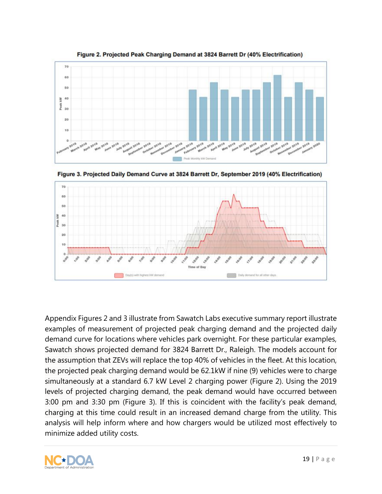

Figure 3. Projected Daily Demand Curve at 3824 Barrett Dr, September 2019 (40% Electrification) 70 60 50 W. 40 Peak  $30$  $20$ 10 19100 1300 Time of Day Daily demand for all other days Day(s) with highest kW de ti 93

Appendix Figures 2 and 3 illustrate from Sawatch Labs executive summary report illustrate examples of measurement of projected peak charging demand and the projected daily demand curve for locations where vehicles park overnight. For these particular examples, Sawatch shows projected demand for 3824 Barrett Dr., Raleigh. The models account for the assumption that ZEVs will replace the top 40% of vehicles in the fleet. At this location, the projected peak charging demand would be 62.1kW if nine (9) vehicles were to charge simultaneously at a standard 6.7 kW Level 2 charging power (Figure 2). Using the 2019 levels of projected charging demand, the peak demand would have occurred between 3:00 pm and 3:30 pm (Figure 3). If this is coincident with the facility's peak demand, charging at this time could result in an increased demand charge from the utility. This analysis will help inform where and how chargers would be utilized most effectively to minimize added utility costs.